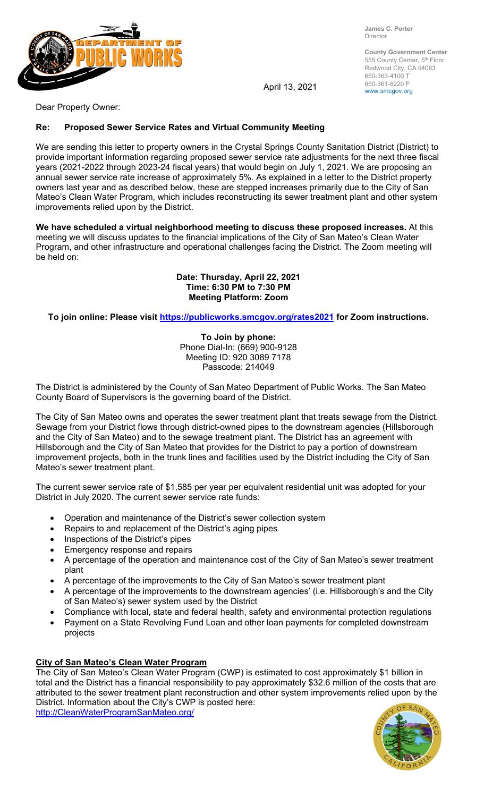

**James C. Porter**  Director

**County Government Center**  555 County Center, 5<sup>th</sup> Floor Redwood City, CA 94063 650-363-4100 T 650-361-8220 F

 $\text{April } 13, 2021$  bb0-361-8220 F www.smcgov.org

Dear Property Owner:

# **Re: Proposed Sewer Service Rates and Virtual Community Meeting**

We are sending this letter to property owners in the Crystal Springs County Sanitation District (District) to provide important information regarding proposed sewer service rate adjustments for the next three fiscal years (2021-2022 through 2023-24 fiscal years) that would begin on July 1, 2021. We are proposing an annual sewer service rate increase of approximately 5%. As explained in a letter to the District property owners last year and as described below, these are stepped increases primarily due to the City of San Mateo's Clean Water Program, which includes reconstructing its sewer treatment plant and other system improvements relied upon by the District.

**We have scheduled a virtual neighborhood meeting to discuss these proposed increases.** At this meeting we will discuss updates to the financial implications of the City of San Mateo's Clean Water Program, and other infrastructure and operational challenges facing the District. The Zoom meeting will be held on:

#### **Date: Thursday, April 22, 2021 Time: 6:30 PM to 7:30 PM Meeting Platform: Zoom**

**To join online: Please visit https://publicworks.smcgov.org/rates2021 for Zoom instructions.** 

**To Join by phone:**  Phone Dial-In: (669) 900-9128 Meeting ID: 920 3089 7178 Passcode: 214049

The District is administered by the County of San Mateo Department of Public Works. The San Mateo County Board of Supervisors is the governing board of the District.

The City of San Mateo owns and operates the sewer treatment plant that treats sewage from the District. Sewage from your District flows through district-owned pipes to the downstream agencies (Hillsborough and the City of San Mateo) and to the sewage treatment plant. The District has an agreement with Hillsborough and the City of San Mateo that provides for the District to pay a portion of downstream improvement projects, both in the trunk lines and facilities used by the District including the City of San Mateo's sewer treatment plant.

The current sewer service rate of \$1,585 per year per equivalent residential unit was adopted for your District in July 2020. The current sewer service rate funds:

- Operation and maintenance of the District's sewer collection system
- Repairs to and replacement of the District's aging pipes
- Inspections of the District's pipes
- Emergency response and repairs
- A percentage of the operation and maintenance cost of the City of San Mateo's sewer treatment plant
- A percentage of the improvements to the City of San Mateo's sewer treatment plant
- A percentage of the improvements to the downstream agencies' (i.e. Hillsborough's and the City of San Mateo's) sewer system used by the District
- Compliance with local, state and federal health, safety and environmental protection regulations
- Payment on a State Revolving Fund Loan and other loan payments for completed downstream projects

## **City of San Mateo's Clean Water Program**

The City of San Mateo's Clean Water Program (CWP) is estimated to cost approximately \$1 billion in total and the District has a financial responsibility to pay approximately \$32.6 million of the costs that are attributed to the sewer treatment plant reconstruction and other system improvements relied upon by the District. Information about the City's CWP is posted here:

http://CleanWaterProgramSanMateo.org/